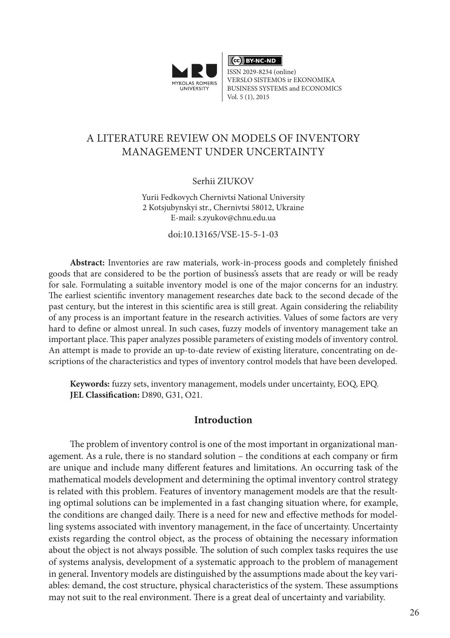

 $\overline{\text{ (ce)}}$  BY-NC-ND

ISSN 2029-8234 (online) VERSLO SISTEMOS ir EKONOMIKA BUSINESS SYSTEMS and ECONOMICS Vol. 5 (1), 2015

# A LITERATURE REVIEW ON MODELS OF INVENTORY MANAGEMENT UNDER UNCERTAINTY

#### Serhii ZIUKOV

Yurii Fedkovych Chernivtsi National University 2 Kotsjubynskyi str., Chernivtsi 58012, Ukraine E-mail: s.zyukov@chnu.edu.ua

doi:10.13165/VSE-15-5-1-03

**Abstract:** Inventories are raw materials, work-in-process goods and completely finished goods that are considered to be the portion of business's assets that are ready or will be ready for sale. Formulating a suitable inventory model is one of the major concerns for an industry. The earliest scientific inventory management researches date back to the second decade of the past century, but the interest in this scientific area is still great. Again considering the reliability of any process is an important feature in the research activities. Values of some factors are very hard to define or almost unreal. In such cases, fuzzy models of inventory management take an important place. This paper analyzes possible parameters of existing models of inventory control. An attempt is made to provide an up-to-date review of existing literature, concentrating on descriptions of the characteristics and types of inventory control models that have been developed.

**Keywords:** fuzzy sets, inventory management, models under uncertainty, EOQ, EPQ. **JEL Classification:** D890, G31, O21.

### **Introduction**

The problem of inventory control is one of the most important in organizational management. As a rule, there is no standard solution – the conditions at each company or firm are unique and include many different features and limitations. An occurring task of the mathematical models development and determining the optimal inventory control strategy is related with this problem. Features of inventory management models are that the resulting optimal solutions can be implemented in a fast changing situation where, for example, the conditions are changed daily. There is a need for new and effective methods for modelling systems associated with inventory management, in the face of uncertainty. Uncertainty exists regarding the control object, as the process of obtaining the necessary information about the object is not always possible. The solution of such complex tasks requires the use of systems analysis, development of a systematic approach to the problem of management in general. Inventory models are distinguished by the assumptions made about the key variables: demand, the cost structure, physical characteristics of the system. These assumptions may not suit to the real environment. There is a great deal of uncertainty and variability.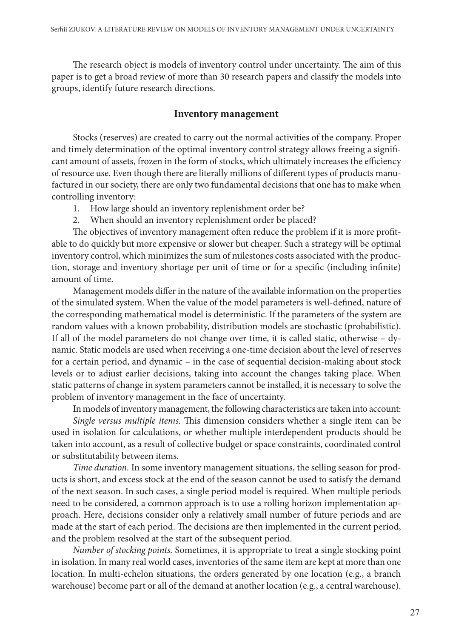The research object is models of inventory control under uncertainty. The aim of this paper is to get a broad review of more than 30 research papers and classify the models into groups, identify future research directions.

### **Inventory management**

Stocks (reserves) are created to carry out the normal activities of the company. Proper and timely determination of the optimal inventory control strategy allows freeing a significant amount of assets, frozen in the form of stocks, which ultimately increases the efficiency of resource use. Even though there are literally millions of different types of products manufactured in our society, there are only two fundamental decisions that one has to make when controlling inventory:

- 1. How large should an inventory replenishment order be?
- 2. When should an inventory replenishment order be placed?

The objectives of inventory management often reduce the problem if it is more profitable to do quickly but more expensive or slower but cheaper. Such a strategy will be optimal inventory control, which minimizes the sum of milestones costs associated with the production, storage and inventory shortage per unit of time or for a specific (including infinite) amount of time.

Management models differ in the nature of the available information on the properties of the simulated system. When the value of the model parameters is well-defined, nature of the corresponding mathematical model is deterministic. If the parameters of the system are random values with a known probability, distribution models are stochastic (probabilistic). If all of the model parameters do not change over time, it is called static, otherwise – dynamic. Static models are used when receiving a one-time decision about the level of reserves for a certain period, and dynamic – in the case of sequential decision-making about stock levels or to adjust earlier decisions, taking into account the changes taking place. When static patterns of change in system parameters cannot be installed, it is necessary to solve the problem of inventory management in the face of uncertainty.

In models of inventory management, the following characteristics are taken into account: *Single versus multiple items.* This dimension considers whether a single item can be used in isolation for calculations, or whether multiple interdependent products should be taken into account, as a result of collective budget or space constraints, coordinated control or substitutability between items.

*Time duration.* In some inventory management situations, the selling season for products is short, and excess stock at the end of the season cannot be used to satisfy the demand of the next season. In such cases, a single period model is required. When multiple periods need to be considered, a common approach is to use a rolling horizon implementation approach. Here, decisions consider only a relatively small number of future periods and are made at the start of each period. The decisions are then implemented in the current period, and the problem resolved at the start of the subsequent period.

*Number of stocking points.* Sometimes, it is appropriate to treat a single stocking point in isolation. In many real world cases, inventories of the same item are kept at more than one location. In multi-echelon situations, the orders generated by one location (e.g., a branch warehouse) become part or all of the demand at another location (e.g., a central warehouse).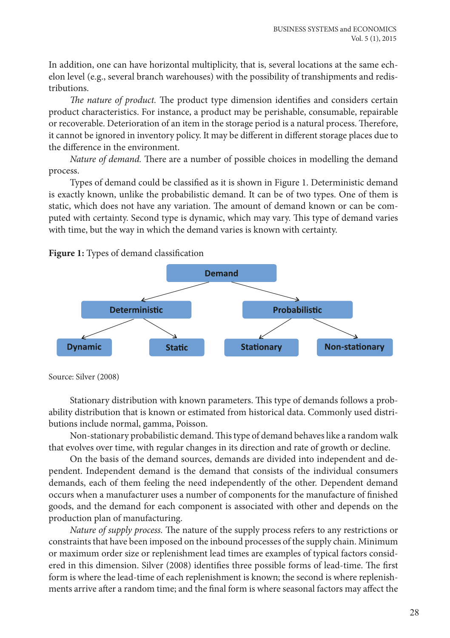In addition, one can have horizontal multiplicity, that is, several locations at the same echelon level (e.g., several branch warehouses) with the possibility of transhipments and redistributions.

*The nature of product.* The product type dimension identifies and considers certain product characteristics. For instance, a product may be perishable, consumable, repairable or recoverable. Deterioration of an item in the storage period is a natural process. Therefore, it cannot be ignored in inventory policy. It may be different in different storage places due to the difference in the environment.

*Nature of demand.* There are a number of possible choices in modelling the demand process.

Types of demand could be classified as it is shown in Figure 1. Deterministic demand is exactly known, unlike the probabilistic demand. It can be of two types. One of them is static, which does not have any variation. The amount of demand known or can be computed with certainty. Second type is dynamic, which may vary. This type of demand varies with time, but the way in which the demand varies is known with certainty.



**Figure 1:** Types of demand classification

Source: Silver (2008)

Stationary distribution with known parameters. This type of demands follows a probability distribution that is known or estimated from historical data. Commonly used distributions include normal, gamma, Poisson.

Non-stationary probabilistic demand. This type of demand behaves like a random walk that evolves over time, with regular changes in its direction and rate of growth or decline.

On the basis of the demand sources, demands are divided into independent and dependent. Independent demand is the demand that consists of the individual consumers demands, each of them feeling the need independently of the other. Dependent demand occurs when a manufacturer uses a number of components for the manufacture of finished goods, and the demand for each component is associated with other and depends on the production plan of manufacturing.

*Nature of supply process.* The nature of the supply process refers to any restrictions or constraints that have been imposed on the inbound processes of the supply chain. Minimum or maximum order size or replenishment lead times are examples of typical factors considered in this dimension. Silver (2008) identifies three possible forms of lead-time. The first form is where the lead-time of each replenishment is known; the second is where replenishments arrive after a random time; and the final form is where seasonal factors may affect the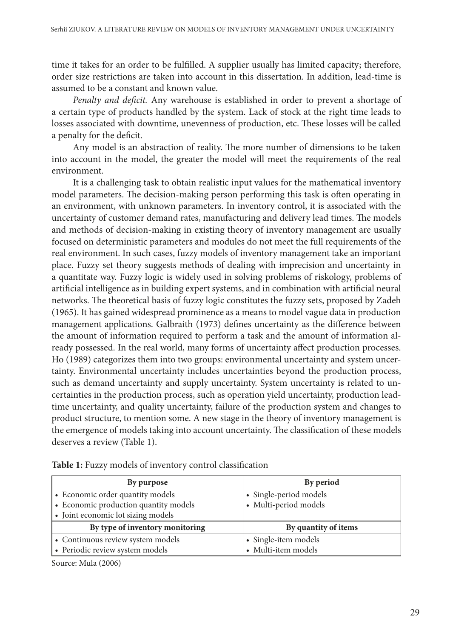time it takes for an order to be fulfilled. A supplier usually has limited capacity; therefore, order size restrictions are taken into account in this dissertation. In addition, lead-time is assumed to be a constant and known value.

*Penalty and deficit.* Any warehouse is established in order to prevent a shortage of a certain type of products handled by the system. Lack of stock at the right time leads to losses associated with downtime, unevenness of production, etc. These losses will be called a penalty for the deficit.

Any model is an abstraction of reality. The more number of dimensions to be taken into account in the model, the greater the model will meet the requirements of the real environment.

It is a challenging task to obtain realistic input values for the mathematical inventory model parameters. The decision-making person performing this task is often operating in an environment, with unknown parameters. In inventory control, it is associated with the uncertainty of customer demand rates, manufacturing and delivery lead times. The models and methods of decision-making in existing theory of inventory management are usually focused on deterministic parameters and modules do not meet the full requirements of the real environment. In such cases, fuzzy models of inventory management take an important place. Fuzzy set theory suggests methods of dealing with imprecision and uncertainty in a quantitate way. Fuzzy logic is widely used in solving problems of riskology, problems of artificial intelligence as in building expert systems, and in combination with artificial neural networks. The theoretical basis of fuzzy logic constitutes the fuzzy sets, proposed by Zadeh (1965). It has gained widespread prominence as a means to model vague data in production management applications. Galbraith (1973) defines uncertainty as the difference between the amount of information required to perform a task and the amount of information already possessed. In the real world, many forms of uncertainty affect production processes. Ho (1989) categorizes them into two groups: environmental uncertainty and system uncertainty. Environmental uncertainty includes uncertainties beyond the production process, such as demand uncertainty and supply uncertainty. System uncertainty is related to uncertainties in the production process, such as operation yield uncertainty, production leadtime uncertainty, and quality uncertainty, failure of the production system and changes to product structure, to mention some. A new stage in the theory of inventory management is the emergence of models taking into account uncertainty. The classification of these models deserves a review (Table 1).

| By purpose                            | By period              |
|---------------------------------------|------------------------|
| • Economic order quantity models      | • Single-period models |
| • Economic production quantity models | • Multi-period models  |
| • Joint economic lot sizing models    |                        |
| By type of inventory monitoring       | By quantity of items   |
| • Continuous review system models     | • Single-item models   |
| • Periodic review system models       | • Multi-item models    |

**Table 1:** Fuzzy models of inventory control classification

Source: Mula (2006)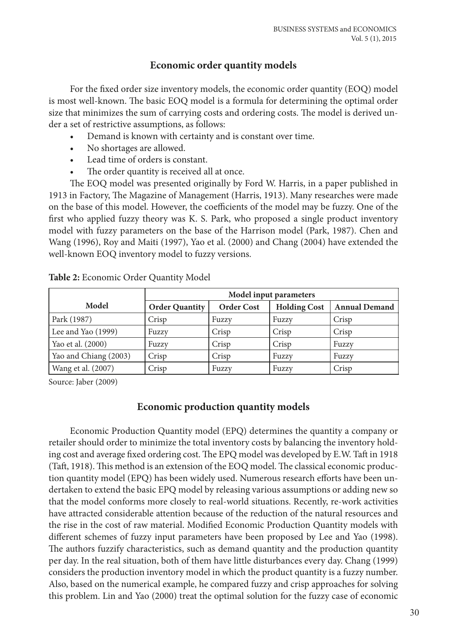## **Economic order quantity models**

For the fixed order size inventory models, the economic order quantity (EOQ) model is most well-known. The basic EOQ model is a formula for determining the optimal order size that minimizes the sum of carrying costs and ordering costs. The model is derived under a set of restrictive assumptions, as follows:

- Demand is known with certainty and is constant over time.
- No shortages are allowed.
- Lead time of orders is constant.
- The order quantity is received all at once.

The EOQ model was presented originally by Ford W. Harris, in a paper published in 1913 in Factory, The Magazine of Management (Harris, 1913). Many researches were made on the base of this model. However, the coefficients of the model may be fuzzy. One of the first who applied fuzzy theory was K. S. Park, who proposed a single product inventory model with fuzzy parameters on the base of the Harrison model (Park, 1987). Chen and Wang (1996), Roy and Maiti (1997), Yao et al. (2000) and Chang (2004) have extended the well-known EOQ inventory model to fuzzy versions.

|                       | Model input parameters |                   |                     |                      |
|-----------------------|------------------------|-------------------|---------------------|----------------------|
| Model                 | <b>Order Quantity</b>  | <b>Order Cost</b> | <b>Holding Cost</b> | <b>Annual Demand</b> |
| Park (1987)           | Crisp                  | Fuzzy             | Fuzzy               | Crisp                |
| Lee and Yao (1999)    | Fuzzy                  | Crisp             | Crisp               | Crisp                |
| Yao et al. (2000)     | Fuzzy                  | Crisp             | Crisp               | Fuzzy                |
| Yao and Chiang (2003) | Crisp                  | Crisp             | Fuzzy               | Fuzzy                |
| Wang et al. (2007)    | Crisp                  | Fuzzy             | Fuzzy               | Crisp                |

|  | Table 2: Economic Order Quantity Model |  |  |  |
|--|----------------------------------------|--|--|--|
|--|----------------------------------------|--|--|--|

Source: Jaber (2009)

## **Economic production quantity models**

Economic Production Quantity model (EPQ) determines the quantity a company or retailer should order to minimize the total inventory costs by balancing the inventory holding cost and average fixed ordering cost. The EPQ model was developed by E.W. Taft in 1918 (Taft, 1918). This method is an extension of the EOQ model. The classical economic production quantity model (EPQ) has been widely used. Numerous research efforts have been undertaken to extend the basic EPQ model by releasing various assumptions or adding new so that the model conforms more closely to real-world situations. Recently, re-work activities have attracted considerable attention because of the reduction of the natural resources and the rise in the cost of raw material. Modified Economic Production Quantity models with different schemes of fuzzy input parameters have been proposed by Lee and Yao (1998). The authors fuzzify characteristics, such as demand quantity and the production quantity per day. In the real situation, both of them have little disturbances every day. Chang (1999) considers the production inventory model in which the product quantity is a fuzzy number. Also, based on the numerical example, he compared fuzzy and crisp approaches for solving this problem. Lin and Yao (2000) treat the optimal solution for the fuzzy case of economic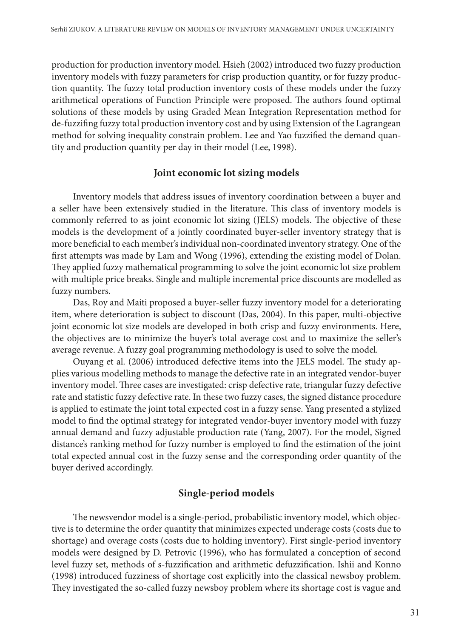production for production inventory model. Hsieh (2002) introduced two fuzzy production inventory models with fuzzy parameters for crisp production quantity, or for fuzzy production quantity. The fuzzy total production inventory costs of these models under the fuzzy arithmetical operations of Function Principle were proposed. The authors found optimal solutions of these models by using Graded Mean Integration Representation method for de-fuzzifing fuzzy total production inventory cost and by using Extension of the Lagrangean method for solving inequality constrain problem. Lee and Yao fuzzified the demand quantity and production quantity per day in their model (Lee, 1998).

### **Joint economic lot sizing models**

Inventory models that address issues of inventory coordination between a buyer and a seller have been extensively studied in the literature. This class of inventory models is commonly referred to as joint economic lot sizing (JELS) models. The objective of these models is the development of a jointly coordinated buyer-seller inventory strategy that is more beneficial to each member's individual non-coordinated inventory strategy. One of the first attempts was made by Lam and Wong (1996), extending the existing model of Dolan. They applied fuzzy mathematical programming to solve the joint economic lot size problem with multiple price breaks. Single and multiple incremental price discounts are modelled as fuzzy numbers.

Das, Roy and Maiti proposed a buyer-seller fuzzy inventory model for a deteriorating item, where deterioration is subject to discount (Das, 2004). In this paper, multi-objective joint economic lot size models are developed in both crisp and fuzzy environments. Here, the objectives are to minimize the buyer's total average cost and to maximize the seller's average revenue. A fuzzy goal programming methodology is used to solve the model.

Ouyang et al. (2006) introduced defective items into the JELS model. The study applies various modelling methods to manage the defective rate in an integrated vendor-buyer inventory model. Three cases are investigated: crisp defective rate, triangular fuzzy defective rate and statistic fuzzy defective rate. In these two fuzzy cases, the signed distance procedure is applied to estimate the joint total expected cost in a fuzzy sense. Yang presented a stylized model to find the optimal strategy for integrated vendor-buyer inventory model with fuzzy annual demand and fuzzy adjustable production rate (Yang, 2007). For the model, Signed distance's ranking method for fuzzy number is employed to find the estimation of the joint total expected annual cost in the fuzzy sense and the corresponding order quantity of the buyer derived accordingly.

### **Single-period models**

The newsvendor model is a single-period, probabilistic inventory model, which objective is to determine the order quantity that minimizes expected underage costs (costs due to shortage) and overage costs (costs due to holding inventory). First single-period inventory models were designed by D. Petrovic (1996), who has formulated a conception of second level fuzzy set, methods of s-fuzzification and arithmetic defuzzification. Ishii and Konno (1998) introduced fuzziness of shortage cost explicitly into the classical newsboy problem. They investigated the so-called fuzzy newsboy problem where its shortage cost is vague and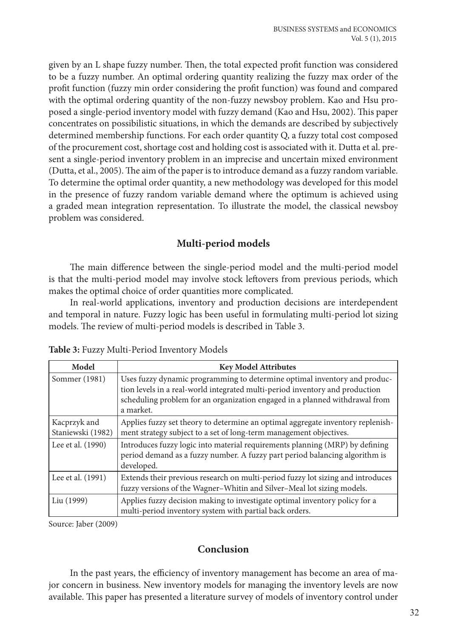given by an L shape fuzzy number. Then, the total expected profit function was considered to be a fuzzy number. An optimal ordering quantity realizing the fuzzy max order of the profit function (fuzzy min order considering the profit function) was found and compared with the optimal ordering quantity of the non-fuzzy newsboy problem. Kao and Hsu proposed a single-period inventory model with fuzzy demand (Kao and Hsu, 2002). This paper concentrates on possibilistic situations, in which the demands are described by subjectively determined membership functions. For each order quantity Q, a fuzzy total cost composed of the procurement cost, shortage cost and holding cost is associated with it. Dutta et al. present a single-period inventory problem in an imprecise and uncertain mixed environment (Dutta, et al., 2005). The aim of the paper is to introduce demand as a fuzzy random variable. To determine the optimal order quantity, a new methodology was developed for this model in the presence of fuzzy random variable demand where the optimum is achieved using a graded mean integration representation. To illustrate the model, the classical newsboy problem was considered.

## **Multi-period models**

The main difference between the single-period model and the multi-period model is that the multi-period model may involve stock leftovers from previous periods, which makes the optimal choice of order quantities more complicated.

In real-world applications, inventory and production decisions are interdependent and temporal in nature. Fuzzy logic has been useful in formulating multi-period lot sizing models. The review of multi-period models is described in Table 3.

| Model                             | <b>Key Model Attributes</b>                                                                                                                                                                                                                           |
|-----------------------------------|-------------------------------------------------------------------------------------------------------------------------------------------------------------------------------------------------------------------------------------------------------|
| Sommer (1981)                     | Uses fuzzy dynamic programming to determine optimal inventory and produc-<br>tion levels in a real-world integrated multi-period inventory and production<br>scheduling problem for an organization engaged in a planned withdrawal from<br>a market. |
| Kacprzyk and<br>Staniewski (1982) | Applies fuzzy set theory to determine an optimal aggregate inventory replenish-<br>ment strategy subject to a set of long-term management objectives.                                                                                                 |
| Lee et al. (1990)                 | Introduces fuzzy logic into material requirements planning (MRP) by defining<br>period demand as a fuzzy number. A fuzzy part period balancing algorithm is<br>developed.                                                                             |
| Lee et al. (1991)                 | Extends their previous research on multi-period fuzzy lot sizing and introduces<br>fuzzy versions of the Wagner-Whitin and Silver-Meal lot sizing models.                                                                                             |
| Liu (1999)                        | Applies fuzzy decision making to investigate optimal inventory policy for a<br>multi-period inventory system with partial back orders.                                                                                                                |

**Table 3:** Fuzzy Multi-Period Inventory Models

Source: Jaber (2009)

### **Conclusion**

In the past years, the efficiency of inventory management has become an area of major concern in business. New inventory models for managing the inventory levels are now available. This paper has presented a literature survey of models of inventory control under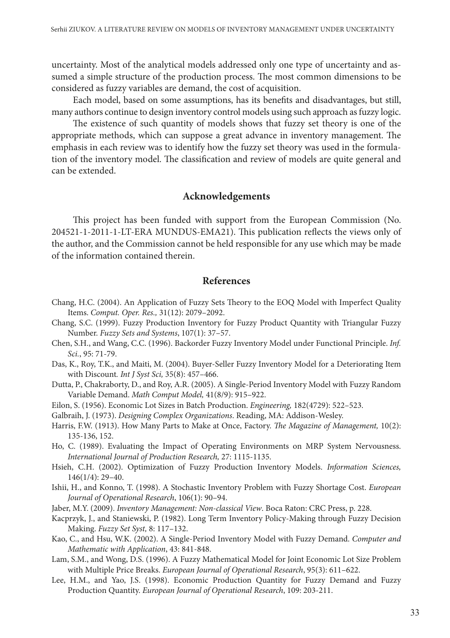uncertainty. Most of the analytical models addressed only one type of uncertainty and assumed a simple structure of the production process. The most common dimensions to be considered as fuzzy variables are demand, the cost of acquisition.

Each model, based on some assumptions, has its benefits and disadvantages, but still, many authors continue to design inventory control models using such approach as fuzzy logic.

The existence of such quantity of models shows that fuzzy set theory is one of the appropriate methods, which can suppose a great advance in inventory management. The emphasis in each review was to identify how the fuzzy set theory was used in the formulation of the inventory model. The classification and review of models are quite general and can be extended.

## **Acknowledgements**

This project has been funded with support from the European Commission (No. 204521-1-2011-1-LT-ERA MUNDUS-EMA21). This publication reflects the views only of the author, and the Commission cannot be held responsible for any use which may be made of the information contained therein.

### **References**

- Chang, H.C. (2004). An Application of Fuzzy Sets Theory to the EOQ Model with Imperfect Quality Items. *Comput. Oper. Res.,* 31(12): 2079–2092.
- Chang, S.C. (1999). Fuzzy Production Inventory for Fuzzy Product Quantity with Triangular Fuzzy Number. *Fuzzy Sets and Systems*, 107(1): 37–57.
- Chen, S.H., and Wang, C.C. (1996). Backorder Fuzzy Inventory Model under Functional Principle. *Inf. Sci.*, 95: 71-79.
- Das, K., Roy, T.K., and Maiti, M. (2004). Buyer-Seller Fuzzy Inventory Model for a Deteriorating Item with Discount*. Int J Syst Sci,* 35(8): 457–466.
- Dutta, P., Chakraborty, D., and Roy, A.R. (2005). A Single-Period Inventory Model with Fuzzy Random Variable Demand. *Math Comput Model,* 41(8/9): 915–922.
- Eilon, S. (1956). Economic Lot Sizes in Batch Production. *Engineering,* 182(4729): 522–523.
- Galbraih, J. (1973). *Designing Complex Organizations*. Reading, MA: Addison-Wesley.
- Harris, F.W. (1913). How Many Parts to Make at Once, Factory. *The Magazine of Management,* 10(2): 135-136, 152.
- Ho, C. (1989). Evaluating the Impact of Operating Environments on MRP System Nervousness. *International Journal of Production Research,* 27: 1115-1135.
- Hsieh, C.H. (2002). Optimization of Fuzzy Production Inventory Models. *Information Sciences,* 146(1/4): 29–40.
- Ishii, H., and Konno, T. (1998). A Stochastic Inventory Problem with Fuzzy Shortage Cost. *European Journal of Operational Research*, 106(1): 90–94.
- Jaber, M.Y. (2009). *Inventory Management: Non-classical View*. Boca Raton: CRC Press, p. 228.
- Kacprzyk, J., and Staniewski, P. (1982). Long Term Inventory Policy-Making through Fuzzy Decision Making. *Fuzzy Set Syst,* 8: 117–132.
- Kao, C., and Hsu, W.K. (2002). A Single-Period Inventory Model with Fuzzy Demand. *Computer and Mathematic with Application*, 43: 841-848.
- Lam, S.M., and Wong, D.S. (1996). A Fuzzy Mathematical Model for Joint Economic Lot Size Problem with Multiple Price Breaks. *European Journal of Operational Research*, 95(3): 611–622.
- Lee, H.M., and Yao, J.S. (1998). Economic Production Quantity for Fuzzy Demand and Fuzzy Production Quantity. *European Journal of Operational Research*, 109: 203-211.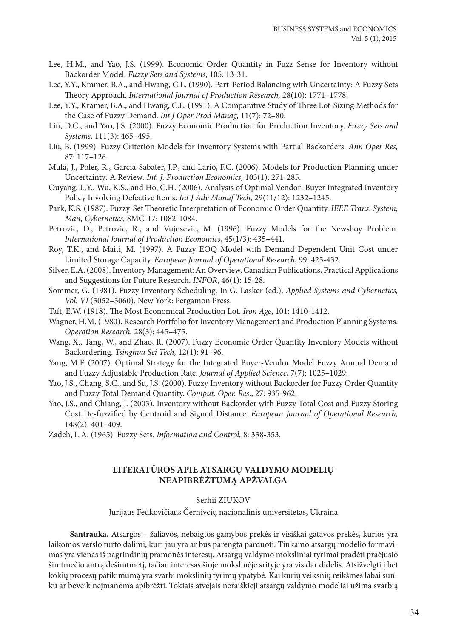- Lee, H.M., and Yao, J.S. (1999). Economic Order Quantity in Fuzz Sense for Inventory without Backorder Model. *Fuzzy Sets and Systems*, 105: 13-31.
- Lee, Y.Y., Kramer, B.A., and Hwang, C.L. (1990). Part-Period Balancing with Uncertainty: A Fuzzy Sets Theory Approach. *International Journal of Production Research,* 28(10): 1771–1778.
- Lee, Y.Y., Kramer, B.A., and Hwang, C.L. (1991). A Comparative Study of Three Lot-Sizing Methods for the Case of Fuzzy Demand. *Int J Oper Prod Manag,* 11(7): 72–80.
- Lin, D.C., and Yao, J.S. (2000). Fuzzy Economic Production for Production Inventory. *Fuzzy Sets and Systems,* 111(3): 465–495.
- Liu, B. (1999). Fuzzy Criterion Models for Inventory Systems with Partial Backorders. *Ann Oper Res,* 87: 117–126.
- Mula, J., Poler, R., Garcia-Sabater, J.P., and Lario, F.C. (2006). Models for Production Planning under Uncertainty: A Review*. Int. J. Production Economics,* 103(1): 271-285.
- Ouyang, L.Y., Wu, K.S., and Ho, C.H. (2006). Analysis of Optimal Vendor–Buyer Integrated Inventory Policy Involving Defective Items. *Int J Adv Manuf Tech,* 29(11/12): 1232–1245.
- Park, K.S. (1987). Fuzzy-Set Theoretic Interpretation of Economic Order Quantity. *IEEE Trans. System, Man, Cybernetics,* SMC-17: 1082-1084.
- Petrovic, D., Petrovic, R., and Vujosevic, M. (1996). Fuzzy Models for the Newsboy Problem. *International Journal of Production Economics*, 45(1/3): 435–441.
- Roy, T.K., and Maiti, M. (1997). A Fuzzy EOQ Model with Demand Dependent Unit Cost under Limited Storage Capacity. *European Journal of Operational Research*, 99: 425-432.
- Silver, E.A. (2008). Inventory Management: An Overview, Canadian Publications, Practical Applications and Suggestions for Future Research. *INFOR*, 46(1): 15-28.
- Sommer, G. (1981). Fuzzy Inventory Scheduling. In G. Lasker (ed.), *Applied Systems and Cybernetics, Vol. VI* (3052–3060). New York: Pergamon Press.
- Taft, E.W. (1918). The Most Economical Production Lot. *Iron Age*, 101: 1410-1412.
- Wagner, H.M. (1980). Research Portfolio for Inventory Management and Production Planning Systems. *Operation Research,* 28(3): 445–475.
- Wang, X., Tang, W., and Zhao, R. (2007). Fuzzy Economic Order Quantity Inventory Models without Backordering. *Tsinghua Sci Tech,* 12(1): 91–96.
- Yang, M.F. (2007). Optimal Strategy for the Integrated Buyer-Vendor Model Fuzzy Annual Demand and Fuzzy Adjustable Production Rate. *Journal of Applied Science,* 7(7): 1025–1029.
- Yao, J.S., Chang, S.C., and Su, J.S. (2000). Fuzzy Inventory without Backorder for Fuzzy Order Quantity and Fuzzy Total Demand Quantity. *Comput. Oper. Res*., 27: 935-962.
- Yao, J.S., and Chiang, J. (2003). Inventory without Backorder with Fuzzy Total Cost and Fuzzy Storing Cost De-fuzzified by Centroid and Signed Distance. *European Journal of Operational Research,* 148(2): 401–409.
- Zadeh, L.A. (1965). Fuzzy Sets. *Information and Control,* 8: 338-353.

#### **LITERATŪROS APIE ATSARGŲ VALDYMO MODELIŲ NEAPIBRĖŽTUMĄ APŽVALGA**

#### Serhii ZIUKOV

Jurijaus Fedkovičiaus Černivcių nacionalinis universitetas, Ukraina

**Santrauka.** Atsargos – žaliavos, nebaigtos gamybos prekės ir visiškai gatavos prekės, kurios yra laikomos verslo turto dalimi, kuri jau yra ar bus parengta parduoti. Tinkamo atsargų modelio formavimas yra vienas iš pagrindinių pramonės interesų. Atsargų valdymo moksliniai tyrimai pradėti praėjusio šimtmečio antrą dešimtmetį, tačiau interesas šioje mokslinėje srityje yra vis dar didelis. Atsižvelgti į bet kokių procesų patikimumą yra svarbi mokslinių tyrimų ypatybė. Kai kurių veiksnių reikšmes labai sunku ar beveik neįmanoma apibrėžti. Tokiais atvejais neraiškieji atsargų valdymo modeliai užima svarbią